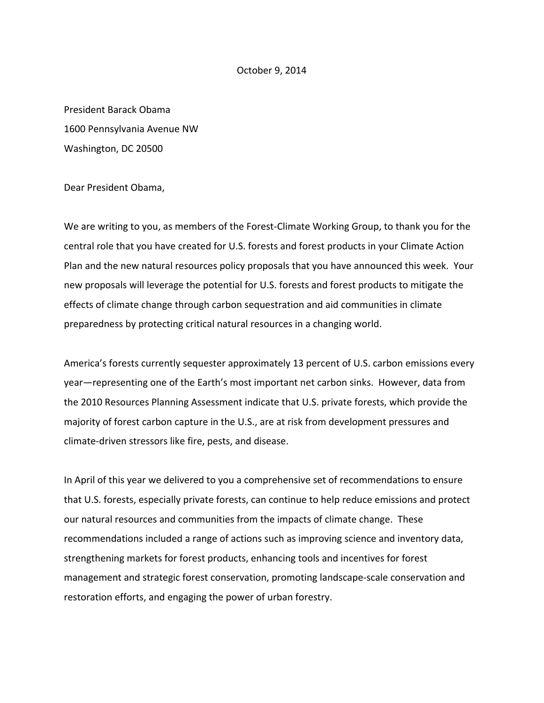## October 9, 2014

President Barack Obama 1600 Pennsylvania Avenue NW Washington, DC 20500

Dear President Obama,

We are writing to you, as members of the Forest‐Climate Working Group, to thank you for the central role that you have created for U.S. forests and forest products in your Climate Action Plan and the new natural resources policy proposals that you have announced this week. Your new proposals will leverage the potential for U.S. forests and forest products to mitigate the effects of climate change through carbon sequestration and aid communities in climate preparedness by protecting critical natural resources in a changing world.

America's forests currently sequester approximately 13 percent of U.S. carbon emissions every year—representing one of the Earth's most important net carbon sinks. However, data from the 2010 Resources Planning Assessment indicate that U.S. private forests, which provide the majority of forest carbon capture in the U.S., are at risk from development pressures and climate‐driven stressors like fire, pests, and disease.

In April of this year we delivered to you a comprehensive set of recommendations to ensure that U.S. forests, especially private forests, can continue to help reduce emissions and protect our natural resources and communities from the impacts of climate change. These recommendations included a range of actions such as improving science and inventory data, strengthening markets for forest products, enhancing tools and incentives for forest management and strategic forest conservation, promoting landscape‐scale conservation and restoration efforts, and engaging the power of urban forestry.